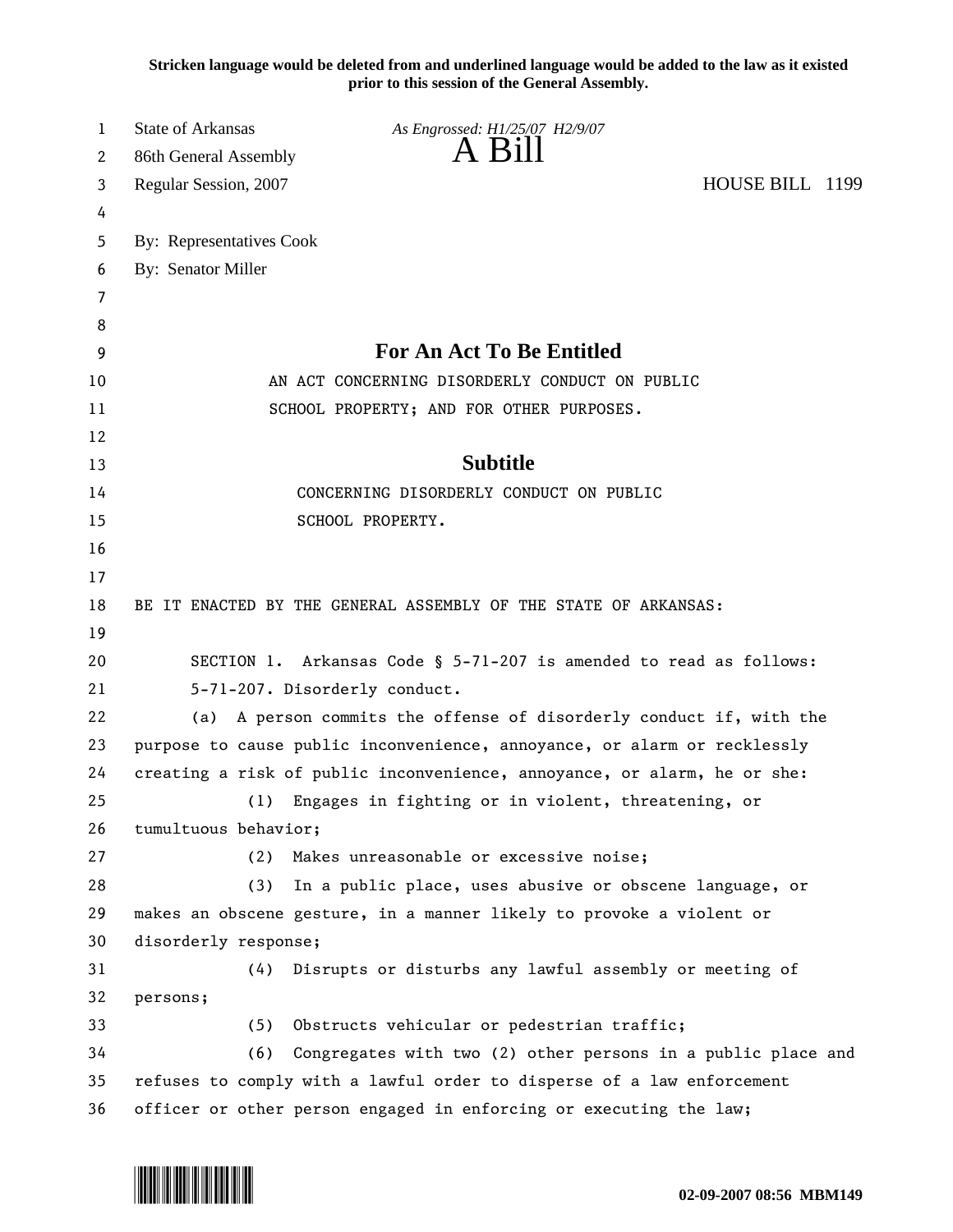**Stricken language would be deleted from and underlined language would be added to the law as it existed prior to this session of the General Assembly.**

| 1  | <b>State of Arkansas</b>                                                 | As Engrossed: H1/25/07 H2/9/07                                         |                 |  |
|----|--------------------------------------------------------------------------|------------------------------------------------------------------------|-----------------|--|
| 2  | 86th General Assembly                                                    | $A$ B <sub>1</sub> II                                                  |                 |  |
| 3  | Regular Session, 2007                                                    |                                                                        | HOUSE BILL 1199 |  |
| 4  |                                                                          |                                                                        |                 |  |
| 5  | By: Representatives Cook                                                 |                                                                        |                 |  |
| 6  | By: Senator Miller                                                       |                                                                        |                 |  |
| 7  |                                                                          |                                                                        |                 |  |
| 8  |                                                                          |                                                                        |                 |  |
| 9  | <b>For An Act To Be Entitled</b>                                         |                                                                        |                 |  |
| 10 | AN ACT CONCERNING DISORDERLY CONDUCT ON PUBLIC                           |                                                                        |                 |  |
| 11 | SCHOOL PROPERTY; AND FOR OTHER PURPOSES.                                 |                                                                        |                 |  |
| 12 |                                                                          |                                                                        |                 |  |
| 13 | <b>Subtitle</b>                                                          |                                                                        |                 |  |
| 14 | CONCERNING DISORDERLY CONDUCT ON PUBLIC                                  |                                                                        |                 |  |
| 15 |                                                                          | SCHOOL PROPERTY.                                                       |                 |  |
| 16 |                                                                          |                                                                        |                 |  |
| 17 |                                                                          |                                                                        |                 |  |
| 18 | BE IT ENACTED BY THE GENERAL ASSEMBLY OF THE STATE OF ARKANSAS:          |                                                                        |                 |  |
| 19 |                                                                          |                                                                        |                 |  |
| 20 | SECTION 1. Arkansas Code § 5-71-207 is amended to read as follows:       |                                                                        |                 |  |
| 21 | 5-71-207. Disorderly conduct.                                            |                                                                        |                 |  |
| 22 | A person commits the offense of disorderly conduct if, with the<br>(a)   |                                                                        |                 |  |
| 23 | purpose to cause public inconvenience, annoyance, or alarm or recklessly |                                                                        |                 |  |
| 24 | creating a risk of public inconvenience, annoyance, or alarm, he or she: |                                                                        |                 |  |
| 25 | (1)                                                                      | Engages in fighting or in violent, threatening, or                     |                 |  |
| 26 | tumultuous behavior;                                                     |                                                                        |                 |  |
| 27 | (2)                                                                      | Makes unreasonable or excessive noise;                                 |                 |  |
| 28 | (3)                                                                      | In a public place, uses abusive or obscene language, or                |                 |  |
| 29 |                                                                          | makes an obscene gesture, in a manner likely to provoke a violent or   |                 |  |
| 30 | disorderly response;                                                     |                                                                        |                 |  |
| 31 | (4)                                                                      | Disrupts or disturbs any lawful assembly or meeting of                 |                 |  |
| 32 | persons;                                                                 |                                                                        |                 |  |
| 33 | (5)                                                                      | Obstructs vehicular or pedestrian traffic;                             |                 |  |
| 34 | (6)                                                                      | Congregates with two (2) other persons in a public place and           |                 |  |
| 35 |                                                                          | refuses to comply with a lawful order to disperse of a law enforcement |                 |  |
| 36 |                                                                          | officer or other person engaged in enforcing or executing the law;     |                 |  |